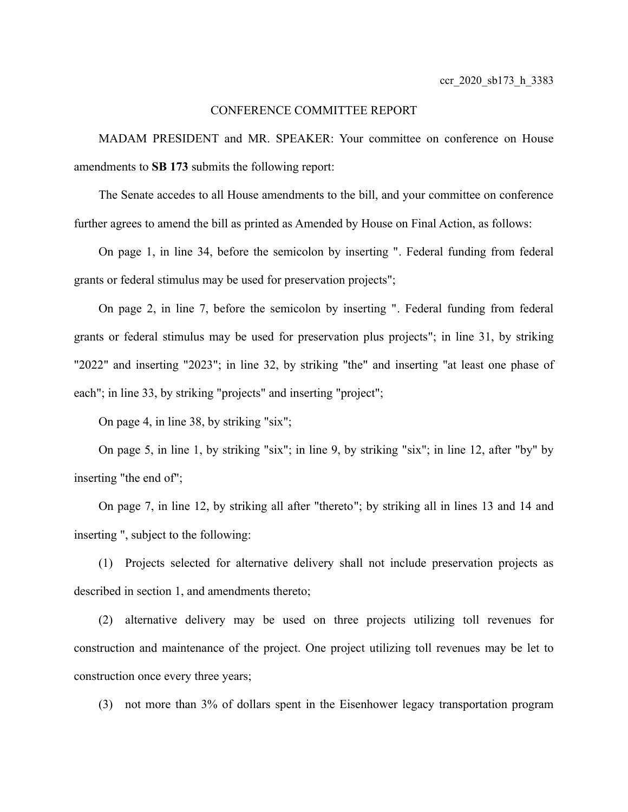## CONFERENCE COMMITTEE REPORT

MADAM PRESIDENT and MR. SPEAKER: Your committee on conference on House amendments to **SB 173** submits the following report:

The Senate accedes to all House amendments to the bill, and your committee on conference further agrees to amend the bill as printed as Amended by House on Final Action, as follows:

On page 1, in line 34, before the semicolon by inserting ". Federal funding from federal grants or federal stimulus may be used for preservation projects";

On page 2, in line 7, before the semicolon by inserting ". Federal funding from federal grants or federal stimulus may be used for preservation plus projects"; in line 31, by striking "2022" and inserting "2023"; in line 32, by striking "the" and inserting "at least one phase of each"; in line 33, by striking "projects" and inserting "project";

On page 4, in line 38, by striking "six";

On page 5, in line 1, by striking "six"; in line 9, by striking "six"; in line 12, after "by" by inserting "the end of";

On page 7, in line 12, by striking all after "thereto"; by striking all in lines 13 and 14 and inserting ", subject to the following:

(1) Projects selected for alternative delivery shall not include preservation projects as described in section 1, and amendments thereto;

(2) alternative delivery may be used on three projects utilizing toll revenues for construction and maintenance of the project. One project utilizing toll revenues may be let to construction once every three years;

(3) not more than 3% of dollars spent in the Eisenhower legacy transportation program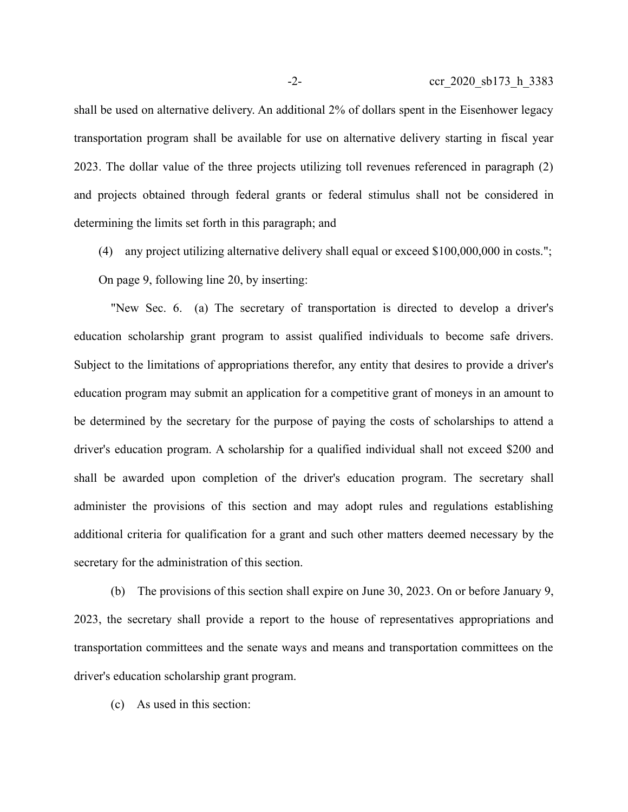shall be used on alternative delivery. An additional 2% of dollars spent in the Eisenhower legacy transportation program shall be available for use on alternative delivery starting in fiscal year 2023. The dollar value of the three projects utilizing toll revenues referenced in paragraph (2) and projects obtained through federal grants or federal stimulus shall not be considered in determining the limits set forth in this paragraph; and

(4) any project utilizing alternative delivery shall equal or exceed \$100,000,000 in costs."; On page 9, following line 20, by inserting:

"New Sec. 6. (a) The secretary of transportation is directed to develop a driver's education scholarship grant program to assist qualified individuals to become safe drivers. Subject to the limitations of appropriations therefor, any entity that desires to provide a driver's education program may submit an application for a competitive grant of moneys in an amount to be determined by the secretary for the purpose of paying the costs of scholarships to attend a driver's education program. A scholarship for a qualified individual shall not exceed \$200 and shall be awarded upon completion of the driver's education program. The secretary shall administer the provisions of this section and may adopt rules and regulations establishing additional criteria for qualification for a grant and such other matters deemed necessary by the secretary for the administration of this section.

(b) The provisions of this section shall expire on June 30, 2023. On or before January 9, 2023, the secretary shall provide a report to the house of representatives appropriations and transportation committees and the senate ways and means and transportation committees on the driver's education scholarship grant program.

(c) As used in this section: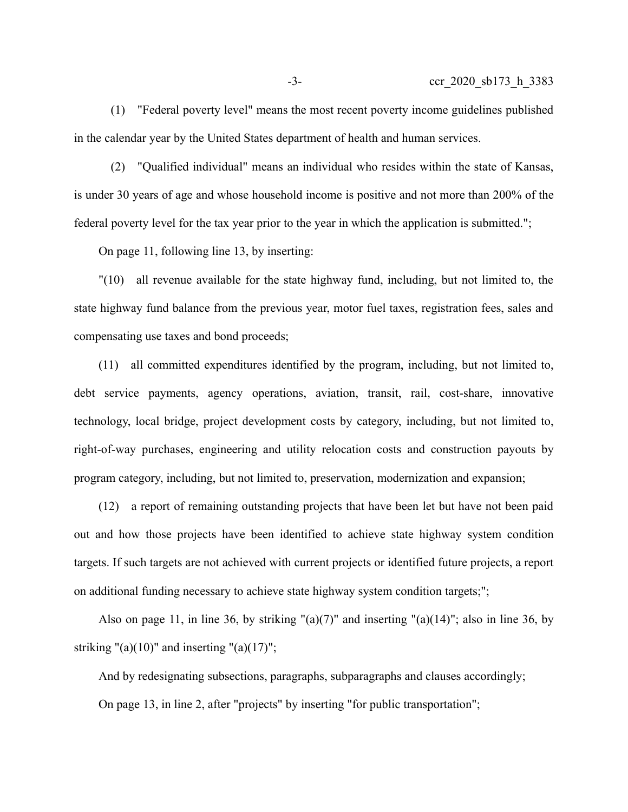(1) "Federal poverty level" means the most recent poverty income guidelines published in the calendar year by the United States department of health and human services.

(2) "Qualified individual" means an individual who resides within the state of Kansas, is under 30 years of age and whose household income is positive and not more than 200% of the federal poverty level for the tax year prior to the year in which the application is submitted.";

On page 11, following line 13, by inserting:

"(10) all revenue available for the state highway fund, including, but not limited to, the state highway fund balance from the previous year, motor fuel taxes, registration fees, sales and compensating use taxes and bond proceeds;

(11) all committed expenditures identified by the program, including, but not limited to, debt service payments, agency operations, aviation, transit, rail, cost-share, innovative technology, local bridge, project development costs by category, including, but not limited to, right-of-way purchases, engineering and utility relocation costs and construction payouts by program category, including, but not limited to, preservation, modernization and expansion;

(12) a report of remaining outstanding projects that have been let but have not been paid out and how those projects have been identified to achieve state highway system condition targets. If such targets are not achieved with current projects or identified future projects, a report on additional funding necessary to achieve state highway system condition targets;";

Also on page 11, in line 36, by striking " $(a)(7)$ " and inserting " $(a)(14)$ "; also in line 36, by striking "(a)(10)" and inserting "(a)(17)";

And by redesignating subsections, paragraphs, subparagraphs and clauses accordingly; On page 13, in line 2, after "projects" by inserting "for public transportation";